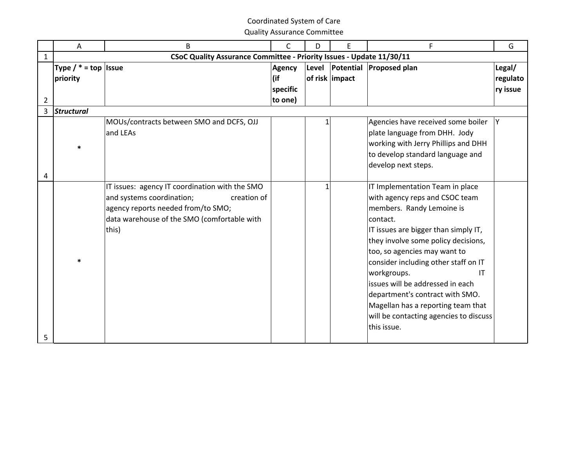|                | A                        | B                                                                                                                                      | $\mathsf{C}$  | D      | E              | F                                                                                                                                                                                                                                                                                                                                                                                                                                | G        |
|----------------|--------------------------|----------------------------------------------------------------------------------------------------------------------------------------|---------------|--------|----------------|----------------------------------------------------------------------------------------------------------------------------------------------------------------------------------------------------------------------------------------------------------------------------------------------------------------------------------------------------------------------------------------------------------------------------------|----------|
| 1              |                          | CSoC Quality Assurance Committee - Priority Issues - Update 11/30/11                                                                   |               |        |                |                                                                                                                                                                                                                                                                                                                                                                                                                                  |          |
|                | Type $/$ * = top   Issue |                                                                                                                                        | <b>Agency</b> | Level  |                | Potential Proposed plan                                                                                                                                                                                                                                                                                                                                                                                                          | Legal/   |
|                | priority                 |                                                                                                                                        | (if           |        | of risk impact |                                                                                                                                                                                                                                                                                                                                                                                                                                  | regulato |
|                |                          |                                                                                                                                        | specific      |        |                |                                                                                                                                                                                                                                                                                                                                                                                                                                  | ry issue |
| $\overline{2}$ |                          |                                                                                                                                        | to one)       |        |                |                                                                                                                                                                                                                                                                                                                                                                                                                                  |          |
| 3              | <b>Structural</b>        |                                                                                                                                        |               |        |                |                                                                                                                                                                                                                                                                                                                                                                                                                                  |          |
| 4              | $\ast$                   | MOUs/contracts between SMO and DCFS, OJJ<br>and LEAs<br>IT issues: agency IT coordination with the SMO                                 |               | 1<br>1 |                | Agencies have received some boiler<br>plate language from DHH. Jody<br>working with Jerry Phillips and DHH<br>to develop standard language and<br>develop next steps.<br>IT Implementation Team in place                                                                                                                                                                                                                         | Y        |
| 5              | $\ast$                   | and systems coordination;<br>creation of<br>agency reports needed from/to SMO;<br>data warehouse of the SMO (comfortable with<br>this) |               |        |                | with agency reps and CSOC team<br>members. Randy Lemoine is<br>contact.<br>IT issues are bigger than simply IT,<br>they involve some policy decisions,<br>too, so agencies may want to<br>consider including other staff on IT<br>workgroups.<br><b>IT</b><br>issues will be addressed in each<br>department's contract with SMO.<br>Magellan has a reporting team that<br>will be contacting agencies to discuss<br>this issue. |          |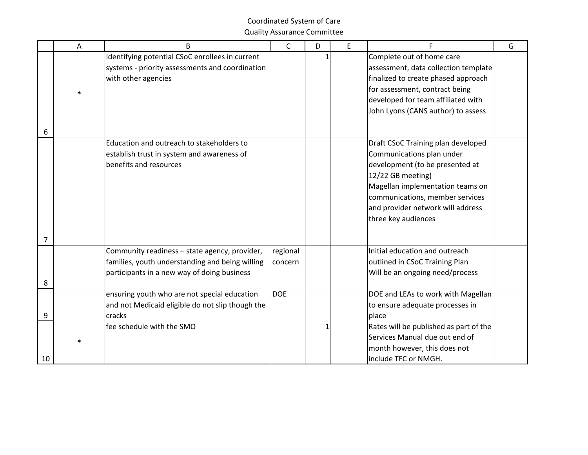|    | A | B                                                                                                | $\mathsf{C}$ | D | E | F                                                                     | G |
|----|---|--------------------------------------------------------------------------------------------------|--------------|---|---|-----------------------------------------------------------------------|---|
|    |   | Identifying potential CSoC enrollees in current                                                  |              |   |   | Complete out of home care                                             |   |
|    |   | systems - priority assessments and coordination                                                  |              |   |   | assessment, data collection template                                  |   |
|    |   | with other agencies                                                                              |              |   |   | finalized to create phased approach<br>for assessment, contract being |   |
|    |   |                                                                                                  |              |   |   | developed for team affiliated with                                    |   |
|    |   |                                                                                                  |              |   |   | John Lyons (CANS author) to assess                                    |   |
|    |   |                                                                                                  |              |   |   |                                                                       |   |
| 6  |   |                                                                                                  |              |   |   |                                                                       |   |
|    |   | Education and outreach to stakeholders to                                                        |              |   |   | Draft CSoC Training plan developed                                    |   |
|    |   | establish trust in system and awareness of                                                       |              |   |   | Communications plan under                                             |   |
|    |   | benefits and resources                                                                           |              |   |   | development (to be presented at                                       |   |
|    |   |                                                                                                  |              |   |   | 12/22 GB meeting)                                                     |   |
|    |   |                                                                                                  |              |   |   | Magellan implementation teams on<br>communications, member services   |   |
|    |   |                                                                                                  |              |   |   | and provider network will address                                     |   |
|    |   |                                                                                                  |              |   |   | three key audiences                                                   |   |
|    |   |                                                                                                  |              |   |   |                                                                       |   |
| 7  |   |                                                                                                  |              |   |   |                                                                       |   |
|    |   | Community readiness - state agency, provider,                                                    | regional     |   |   | Initial education and outreach                                        |   |
|    |   | families, youth understanding and being willing                                                  | concern      |   |   | outlined in CSoC Training Plan                                        |   |
|    |   | participants in a new way of doing business                                                      |              |   |   | Will be an ongoing need/process                                       |   |
| 8  |   |                                                                                                  | <b>DOE</b>   |   |   |                                                                       |   |
|    |   | ensuring youth who are not special education<br>and not Medicaid eligible do not slip though the |              |   |   | DOE and LEAs to work with Magellan<br>to ensure adequate processes in |   |
| 9  |   | cracks                                                                                           |              |   |   | place                                                                 |   |
|    |   | fee schedule with the SMO                                                                        |              | 1 |   | Rates will be published as part of the                                |   |
|    |   |                                                                                                  |              |   |   | Services Manual due out end of                                        |   |
|    |   |                                                                                                  |              |   |   | month however, this does not                                          |   |
| 10 |   |                                                                                                  |              |   |   | include TFC or NMGH.                                                  |   |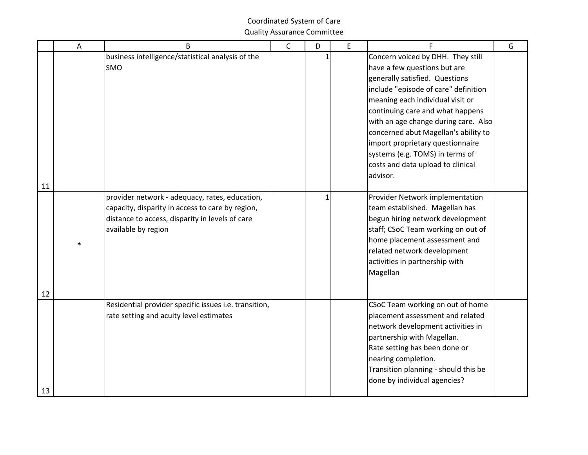|    | A      | B                                                                                                                                                                            | $\mathsf{C}$ | D | E | F                                                                                                                                                                                                                                                                                                                                                                                                                           | G |
|----|--------|------------------------------------------------------------------------------------------------------------------------------------------------------------------------------|--------------|---|---|-----------------------------------------------------------------------------------------------------------------------------------------------------------------------------------------------------------------------------------------------------------------------------------------------------------------------------------------------------------------------------------------------------------------------------|---|
| 11 |        | business intelligence/statistical analysis of the<br><b>SMO</b>                                                                                                              |              |   |   | Concern voiced by DHH. They still<br>have a few questions but are<br>generally satisfied. Questions<br>include "episode of care" definition<br>meaning each individual visit or<br>continuing care and what happens<br>with an age change during care. Also<br>concerned abut Magellan's ability to<br>import proprietary questionnaire<br>systems (e.g. TOMS) in terms of<br>costs and data upload to clinical<br>advisor. |   |
| 12 | $\ast$ | provider network - adequacy, rates, education,<br>capacity, disparity in access to care by region,<br>distance to access, disparity in levels of care<br>available by region |              |   |   | Provider Network implementation<br>team established. Magellan has<br>begun hiring network development<br>staff; CSoC Team working on out of<br>home placement assessment and<br>related network development<br>activities in partnership with<br>Magellan                                                                                                                                                                   |   |
| 13 |        | Residential provider specific issues i.e. transition,<br>rate setting and acuity level estimates                                                                             |              |   |   | CSoC Team working on out of home<br>placement assessment and related<br>network development activities in<br>partnership with Magellan.<br>Rate setting has been done or<br>nearing completion.<br>Transition planning - should this be<br>done by individual agencies?                                                                                                                                                     |   |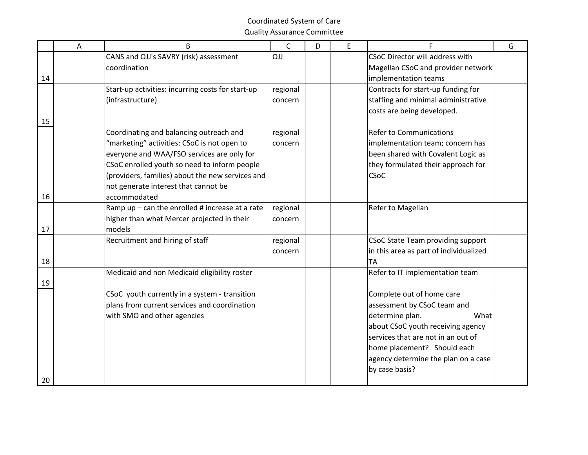|    | A | <sub>B</sub>                                      | $\mathsf C$ | D | E |                                        | G |
|----|---|---------------------------------------------------|-------------|---|---|----------------------------------------|---|
|    |   | CANS and OJJ's SAVRY (risk) assessment            | OJJ         |   |   | CSoC Director will address with        |   |
|    |   | coordination                                      |             |   |   | Magellan CSoC and provider network     |   |
| 14 |   |                                                   |             |   |   | implementation teams                   |   |
|    |   | Start-up activities: incurring costs for start-up | regional    |   |   | Contracts for start-up funding for     |   |
|    |   | (infrastructure)                                  | concern     |   |   | staffing and minimal administrative    |   |
|    |   |                                                   |             |   |   | costs are being developed.             |   |
| 15 |   |                                                   |             |   |   |                                        |   |
|    |   | Coordinating and balancing outreach and           | regional    |   |   | <b>Refer to Communications</b>         |   |
|    |   | "marketing" activities: CSoC is not open to       | concern     |   |   | implementation team; concern has       |   |
|    |   | everyone and WAA/FSO services are only for        |             |   |   | been shared with Covalent Logic as     |   |
|    |   | CSoC enrolled youth so need to inform people      |             |   |   | they formulated their approach for     |   |
|    |   | (providers, families) about the new services and  |             |   |   | <b>CSoC</b>                            |   |
|    |   | not generate interest that cannot be              |             |   |   |                                        |   |
| 16 |   | accommodated                                      |             |   |   |                                        |   |
|    |   | Ramp up $-$ can the enrolled # increase at a rate | regional    |   |   | Refer to Magellan                      |   |
|    |   | higher than what Mercer projected in their        | concern     |   |   |                                        |   |
| 17 |   | models                                            |             |   |   |                                        |   |
|    |   | Recruitment and hiring of staff                   | regional    |   |   | CSoC State Team providing support      |   |
|    |   |                                                   | concern     |   |   | in this area as part of individualized |   |
| 18 |   |                                                   |             |   |   | TA                                     |   |
|    |   | Medicaid and non Medicaid eligibility roster      |             |   |   | Refer to IT implementation team        |   |
| 19 |   |                                                   |             |   |   |                                        |   |
|    |   | CSoC youth currently in a system - transition     |             |   |   | Complete out of home care              |   |
|    |   | plans from current services and coordination      |             |   |   | assessment by CSoC team and            |   |
|    |   | with SMO and other agencies                       |             |   |   | determine plan.<br>What                |   |
|    |   |                                                   |             |   |   | about CSoC youth receiving agency      |   |
|    |   |                                                   |             |   |   | services that are not in an out of     |   |
|    |   |                                                   |             |   |   | home placement? Should each            |   |
|    |   |                                                   |             |   |   | agency determine the plan on a case    |   |
|    |   |                                                   |             |   |   | by case basis?                         |   |
| 20 |   |                                                   |             |   |   |                                        |   |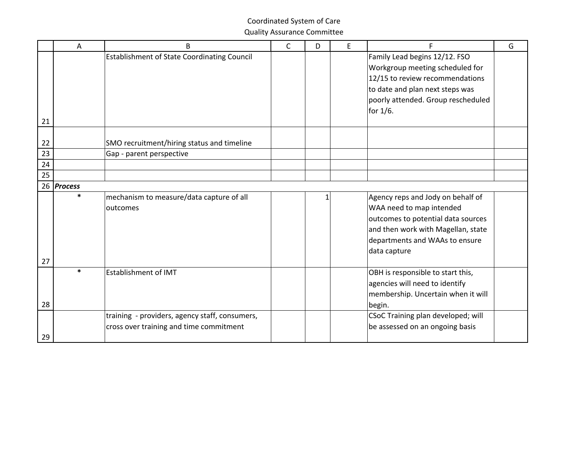|    | Α          | B                                                  | C | D | E | F                                  | G |
|----|------------|----------------------------------------------------|---|---|---|------------------------------------|---|
|    |            | <b>Establishment of State Coordinating Council</b> |   |   |   | Family Lead begins 12/12. FSO      |   |
|    |            |                                                    |   |   |   | Workgroup meeting scheduled for    |   |
|    |            |                                                    |   |   |   | 12/15 to review recommendations    |   |
|    |            |                                                    |   |   |   | to date and plan next steps was    |   |
|    |            |                                                    |   |   |   | poorly attended. Group rescheduled |   |
|    |            |                                                    |   |   |   | for 1/6.                           |   |
| 21 |            |                                                    |   |   |   |                                    |   |
|    |            |                                                    |   |   |   |                                    |   |
| 22 |            | SMO recruitment/hiring status and timeline         |   |   |   |                                    |   |
| 23 |            | Gap - parent perspective                           |   |   |   |                                    |   |
| 24 |            |                                                    |   |   |   |                                    |   |
| 25 |            |                                                    |   |   |   |                                    |   |
|    | 26 Process |                                                    |   |   |   |                                    |   |
|    | $\ast$     | mechanism to measure/data capture of all           |   | 1 |   | Agency reps and Jody on behalf of  |   |
|    |            | outcomes                                           |   |   |   | WAA need to map intended           |   |
|    |            |                                                    |   |   |   | outcomes to potential data sources |   |
|    |            |                                                    |   |   |   | and then work with Magellan, state |   |
|    |            |                                                    |   |   |   | departments and WAAs to ensure     |   |
|    |            |                                                    |   |   |   | data capture                       |   |
| 27 |            |                                                    |   |   |   |                                    |   |
|    | $\ast$     | <b>Establishment of IMT</b>                        |   |   |   | OBH is responsible to start this,  |   |
|    |            |                                                    |   |   |   | agencies will need to identify     |   |
|    |            |                                                    |   |   |   | membership. Uncertain when it will |   |
| 28 |            |                                                    |   |   |   | begin.                             |   |
|    |            | training - providers, agency staff, consumers,     |   |   |   | CSoC Training plan developed; will |   |
|    |            | cross over training and time commitment            |   |   |   | be assessed on an ongoing basis    |   |
| 29 |            |                                                    |   |   |   |                                    |   |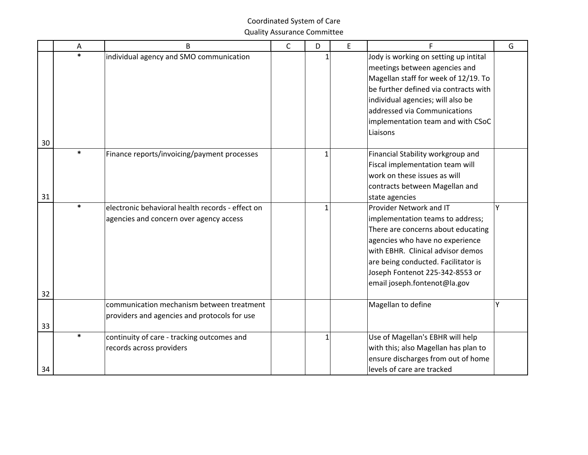|    | Α      | B                                                                                           | C | D            | E | F                                                                                                                                                                                                                                                                                   | G |
|----|--------|---------------------------------------------------------------------------------------------|---|--------------|---|-------------------------------------------------------------------------------------------------------------------------------------------------------------------------------------------------------------------------------------------------------------------------------------|---|
| 30 | $\ast$ | individual agency and SMO communication                                                     |   | 1            |   | Jody is working on setting up intital<br>meetings between agencies and<br>Magellan staff for week of 12/19. To<br>be further defined via contracts with<br>individual agencies; will also be<br>addressed via Communications<br>implementation team and with CSoC<br>Liaisons       |   |
| 31 | $\ast$ | Finance reports/invoicing/payment processes                                                 |   | $\mathbf{1}$ |   | Financial Stability workgroup and<br>Fiscal implementation team will<br>work on these issues as will<br>contracts between Magellan and<br>state agencies                                                                                                                            |   |
| 32 | $\ast$ | electronic behavioral health records - effect on<br>agencies and concern over agency access |   | $\mathbf{1}$ |   | Provider Network and IT<br>implementation teams to address;<br>There are concerns about educating<br>agencies who have no experience<br>with EBHR. Clinical advisor demos<br>are being conducted. Facilitator is<br>Joseph Fontenot 225-342-8553 or<br>email joseph.fontenot@la.gov | Y |
| 33 |        | communication mechanism between treatment<br>providers and agencies and protocols for use   |   |              |   | Magellan to define                                                                                                                                                                                                                                                                  | Υ |
| 34 | $\ast$ | continuity of care - tracking outcomes and<br>records across providers                      |   | $\mathbf 1$  |   | Use of Magellan's EBHR will help<br>with this; also Magellan has plan to<br>ensure discharges from out of home<br>levels of care are tracked                                                                                                                                        |   |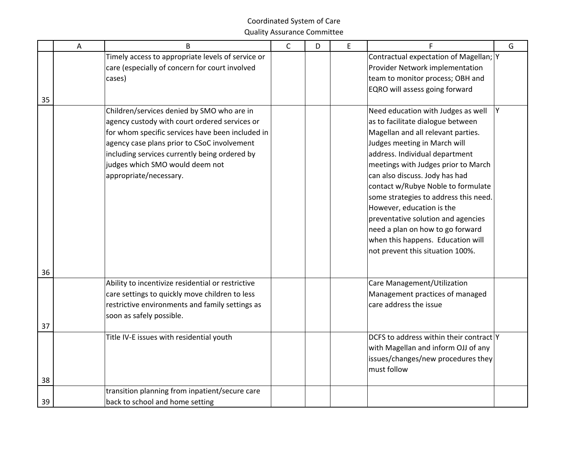|    | A | B                                                 | $\mathsf C$ | D | E | G<br>F                                  |
|----|---|---------------------------------------------------|-------------|---|---|-----------------------------------------|
|    |   | Timely access to appropriate levels of service or |             |   |   | Contractual expectation of Magellan; Y  |
|    |   | care (especially of concern for court involved    |             |   |   | Provider Network implementation         |
|    |   | cases)                                            |             |   |   | team to monitor process; OBH and        |
|    |   |                                                   |             |   |   | EQRO will assess going forward          |
| 35 |   |                                                   |             |   |   |                                         |
|    |   | Children/services denied by SMO who are in        |             |   |   | Need education with Judges as well<br>Y |
|    |   | agency custody with court ordered services or     |             |   |   | as to facilitate dialogue between       |
|    |   | for whom specific services have been included in  |             |   |   | Magellan and all relevant parties.      |
|    |   | agency case plans prior to CSoC involvement       |             |   |   | Judges meeting in March will            |
|    |   | including services currently being ordered by     |             |   |   | address. Individual department          |
|    |   | judges which SMO would deem not                   |             |   |   | meetings with Judges prior to March     |
|    |   | appropriate/necessary.                            |             |   |   | can also discuss. Jody has had          |
|    |   |                                                   |             |   |   | contact w/Rubye Noble to formulate      |
|    |   |                                                   |             |   |   | some strategies to address this need.   |
|    |   |                                                   |             |   |   | However, education is the               |
|    |   |                                                   |             |   |   | preventative solution and agencies      |
|    |   |                                                   |             |   |   | need a plan on how to go forward        |
|    |   |                                                   |             |   |   | when this happens. Education will       |
|    |   |                                                   |             |   |   | not prevent this situation 100%.        |
|    |   |                                                   |             |   |   |                                         |
| 36 |   |                                                   |             |   |   |                                         |
|    |   | Ability to incentivize residential or restrictive |             |   |   | Care Management/Utilization             |
|    |   | care settings to quickly move children to less    |             |   |   | Management practices of managed         |
|    |   | restrictive environments and family settings as   |             |   |   | care address the issue                  |
|    |   | soon as safely possible.                          |             |   |   |                                         |
| 37 |   |                                                   |             |   |   |                                         |
|    |   | Title IV-E issues with residential youth          |             |   |   | DCFS to address within their contract Y |
|    |   |                                                   |             |   |   | with Magellan and inform OJJ of any     |
|    |   |                                                   |             |   |   | issues/changes/new procedures they      |
|    |   |                                                   |             |   |   | must follow                             |
| 38 |   |                                                   |             |   |   |                                         |
|    |   | transition planning from inpatient/secure care    |             |   |   |                                         |
| 39 |   | back to school and home setting                   |             |   |   |                                         |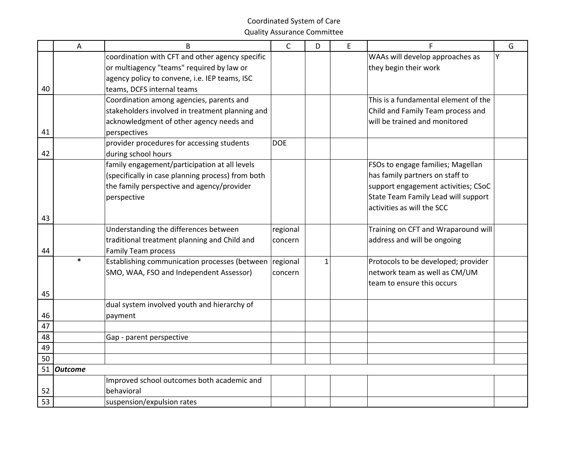|    | A              | B                                                 | $\mathsf{C}$ | D | E | F                                    | G |
|----|----------------|---------------------------------------------------|--------------|---|---|--------------------------------------|---|
|    |                | coordination with CFT and other agency specific   |              |   |   | WAAs will develop approaches as      | Y |
|    |                | or multiagency "teams" required by law or         |              |   |   | they begin their work                |   |
|    |                | agency policy to convene, i.e. IEP teams, ISC     |              |   |   |                                      |   |
| 40 |                | teams, DCFS internal teams                        |              |   |   |                                      |   |
|    |                | Coordination among agencies, parents and          |              |   |   | This is a fundamental element of the |   |
|    |                | stakeholders involved in treatment planning and   |              |   |   | Child and Family Team process and    |   |
|    |                | acknowledgment of other agency needs and          |              |   |   | will be trained and monitored        |   |
| 41 |                | perspectives                                      |              |   |   |                                      |   |
|    |                | provider procedures for accessing students        | <b>DOE</b>   |   |   |                                      |   |
| 42 |                | during school hours                               |              |   |   |                                      |   |
|    |                | family engagement/participation at all levels     |              |   |   | FSOs to engage families; Magellan    |   |
|    |                | (specifically in case planning process) from both |              |   |   | has family partners on staff to      |   |
|    |                | the family perspective and agency/provider        |              |   |   | support engagement activities; CSoC  |   |
|    |                | perspective                                       |              |   |   | State Team Family Lead will support  |   |
|    |                |                                                   |              |   |   | activities as will the SCC           |   |
| 43 |                |                                                   |              |   |   |                                      |   |
|    |                | Understanding the differences between             | regional     |   |   | Training on CFT and Wraparound will  |   |
|    |                | traditional treatment planning and Child and      | concern      |   |   | address and will be ongoing          |   |
| 44 | $\ast$         | <b>Family Team process</b>                        |              |   |   |                                      |   |
|    |                | Establishing communication processes (between     | regional     | 1 |   | Protocols to be developed; provider  |   |
|    |                | SMO, WAA, FSO and Independent Assessor)           | concern      |   |   | network team as well as CM/UM        |   |
|    |                |                                                   |              |   |   | team to ensure this occurs           |   |
| 45 |                |                                                   |              |   |   |                                      |   |
| 46 |                | dual system involved youth and hierarchy of       |              |   |   |                                      |   |
| 47 |                | payment                                           |              |   |   |                                      |   |
| 48 |                | Gap - parent perspective                          |              |   |   |                                      |   |
| 49 |                |                                                   |              |   |   |                                      |   |
| 50 |                |                                                   |              |   |   |                                      |   |
| 51 | <b>Outcome</b> |                                                   |              |   |   |                                      |   |
|    |                | Improved school outcomes both academic and        |              |   |   |                                      |   |
| 52 |                | behavioral                                        |              |   |   |                                      |   |
| 53 |                | suspension/expulsion rates                        |              |   |   |                                      |   |